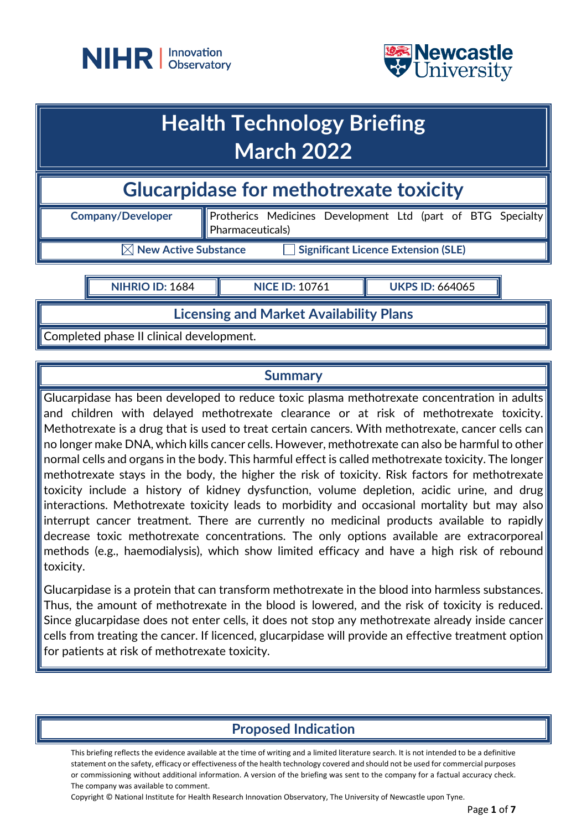



## **Health Technology Briefing March 2022**

**Glucarpidase for methotrexate toxicity** 

Pharmaceuticals)

**Company/Developer** | Protherics Medicines Development Ltd (part of BTG Specialty

**New Active Substance Significant Licence Extension (SLE)** 

**NIHRIO ID:** 1684 **NICE ID:** 10761 **UKPS ID:** 664065

**Licensing and Market Availability Plans**

Completed phase II clinical development.

## **Summary**

Glucarpidase has been developed to reduce toxic plasma methotrexate concentration in adults and children with delayed methotrexate clearance or at risk of methotrexate toxicity. Methotrexate is a drug that is used to treat certain cancers. With methotrexate, cancer cells can no longer make DNA, which kills cancer cells. However, methotrexate can also be harmful to other normal cells and organs in the body. This harmful effect is called methotrexate toxicity. The longer methotrexate stays in the body, the higher the risk of toxicity. Risk factors for methotrexate toxicity include a history of kidney dysfunction, volume depletion, acidic urine, and drug interactions. Methotrexate toxicity leads to morbidity and occasional mortality but may also interrupt cancer treatment. There are currently no medicinal products available to rapidly decrease toxic methotrexate concentrations. The only options available are extracorporeal methods (e.g., haemodialysis), which show limited efficacy and have a high risk of rebound toxicity.

Glucarpidase is a protein that can transform methotrexate in the blood into harmless substances. Thus, the amount of methotrexate in the blood is lowered, and the risk of toxicity is reduced. Since glucarpidase does not enter cells, it does not stop any methotrexate already inside cancer cells from treating the cancer. If licenced, glucarpidase will provide an effective treatment option for patients at risk of methotrexate toxicity.

## **Proposed Indication**

This briefing reflects the evidence available at the time of writing and a limited literature search. It is not intended to be a definitive statement on the safety, efficacy or effectiveness of the health technology covered and should not be used for commercial purposes or commissioning without additional information. A version of the briefing was sent to the company for a factual accuracy check. The company was available to comment.

Copyright © National Institute for Health Research Innovation Observatory, The University of Newcastle upon Tyne.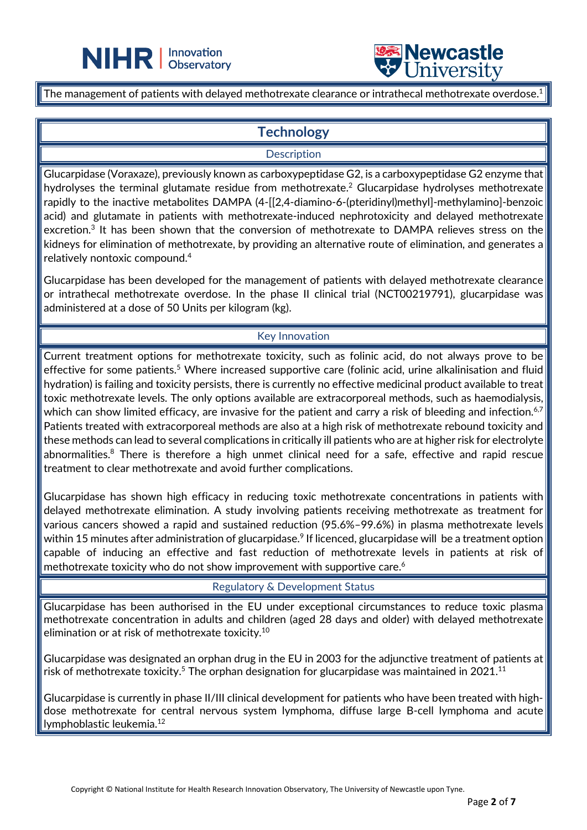



The management of patients with delayed methotrexate clearance or intrathecal methotrexate overdose.<sup>1</sup>

 $\overline{a}$ 

## **Technology**

#### **Description**

Glucarpidase (Voraxaze), previously known as carboxypeptidase G2, is a carboxypeptidase G2 enzyme that hydrolyses the terminal glutamate residue from methotrexate. <sup>2</sup> Glucarpidase hydrolyses methotrexate rapidly to the inactive metabolites DAMPA (4-[[2,4-diamino-6-(pteridinyl)methyl]-methylamino]-benzoic acid) and glutamate in patients with methotrexate-induced nephrotoxicity and delayed methotrexate excretion.3 It has been shown that the conversion of methotrexate to DAMPA relieves stress on the kidneys for elimination of methotrexate, by providing an alternative route of elimination, and generates a relatively nontoxic compound.4

Glucarpidase has been developed for the management of patients with delayed methotrexate clearance or intrathecal methotrexate overdose. In the phase II clinical trial (NCT00219791), glucarpidase was administered at a dose of 50 Units per kilogram (kg).

#### Key Innovation

Current treatment options for methotrexate toxicity, such as folinic acid, do not always prove to be effective for some patients.<sup>5</sup> Where increased supportive care (folinic acid, urine alkalinisation and fluid hydration) is failing and toxicity persists, there is currently no effective medicinal product available to treat toxic methotrexate levels. The only options available are extracorporeal methods, such as haemodialysis, which can show limited efficacy, are invasive for the patient and carry a risk of bleeding and infection.<sup>6,7</sup> Patients treated with extracorporeal methods are also at a high risk of methotrexate rebound toxicity and these methods can lead to several complications in critically ill patients who are at higher risk for electrolyte abnormalities.<sup>8</sup> There is therefore a high unmet clinical need for a safe, effective and rapid rescue treatment to clear methotrexate and avoid further complications.

Glucarpidase has shown high efficacy in reducing toxic methotrexate concentrations in patients with delayed methotrexate elimination. A study involving patients receiving methotrexate as treatment for various cancers showed a rapid and sustained reduction (95.6%–99.6%) in plasma methotrexate levels within 15 minutes after administration of glucarpidase.<sup>9</sup> If licenced, glucarpidase will be a treatment option capable of inducing an effective and fast reduction of methotrexate levels in patients at risk of methotrexate toxicity who do not show improvement with supportive care. $^6$ 

Regulatory & Development Status

Glucarpidase has been authorised in the EU under exceptional circumstances to reduce toxic plasma methotrexate concentration in adults and children (aged 28 days and older) with delayed methotrexate elimination or at risk of methotrexate toxicity. $^{10}$ 

Glucarpidase was designated an orphan drug in the EU in 2003 for the adjunctive treatment of patients at risk of methotrexate toxicity. $^5$  The orphan designation for glucarpidase was maintained in 2021. $^{\rm 11}$ 

Glucarpidase is currently in phase II/III clinical development for patients who have been treated with highdose methotrexate for central nervous system lymphoma, diffuse large B-cell lymphoma and acute lymphoblastic leukemia. 12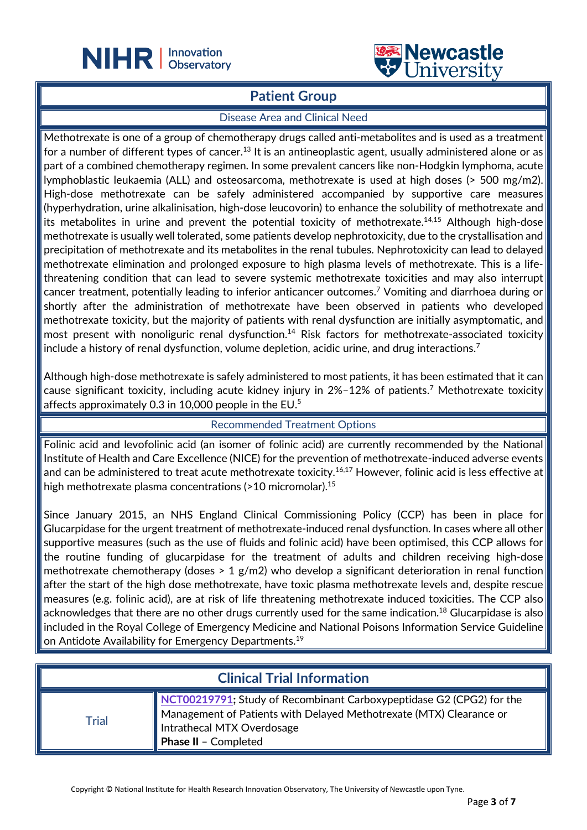



### **Patient Group**

 $\overline{a}$ 

#### Disease Area and Clinical Need

Methotrexate is one of a group of chemotherapy drugs called anti-metabolites and is used as a treatment for a number of different types of cancer.<sup>13</sup> It is an antineoplastic agent, usually administered alone or as part of a combined chemotherapy regimen. In some prevalent cancers like non-Hodgkin lymphoma, acute lymphoblastic leukaemia (ALL) and osteosarcoma, methotrexate is used at high doses (> 500 mg/m2). High-dose methotrexate can be safely administered accompanied by supportive care measures (hyperhydration, urine alkalinisation, high-dose leucovorin) to enhance the solubility of methotrexate and its metabolites in urine and prevent the potential toxicity of methotrexate. 14,15 Although high-dose methotrexate is usually well tolerated, some patients develop nephrotoxicity, due to the crystallisation and precipitation of methotrexate and its metabolites in the renal tubules. Nephrotoxicity can lead to delayed methotrexate elimination and prolonged exposure to high plasma levels of methotrexate. This is a lifethreatening condition that can lead to severe systemic methotrexate toxicities and may also interrupt cancer treatment, potentially leading to inferior anticancer outcomes.7 Vomiting and diarrhoea during or shortly after the administration of methotrexate have been observed in patients who developed methotrexate toxicity, but the majority of patients with renal dysfunction are initially asymptomatic, and most present with nonoliguric renal dysfunction.<sup>14</sup> Risk factors for methotrexate-associated toxicity include a history of renal dysfunction, volume depletion, acidic urine, and drug interactions.<sup>7</sup>

Although high-dose methotrexate is safely administered to most patients, it has been estimated that it can cause significant toxicity, including acute kidney injury in 2%–12% of patients. <sup>7</sup> Methotrexate toxicity affects approximately 0.3 in 10,000 people in the EU.5

#### Recommended Treatment Options

Folinic acid and levofolinic acid (an isomer of folinic acid) are currently recommended by the National Institute of Health and Care Excellence (NICE) for the prevention of methotrexate-induced adverse events and can be administered to treat acute methotrexate toxicity.<sup>16,17</sup> However, folinic acid is less effective at high methotrexate plasma concentrations (>10 micromolar). 15

Since January 2015, an NHS England Clinical Commissioning Policy (CCP) has been in place for Glucarpidase for the urgent treatment of methotrexate-induced renal dysfunction. In cases where all other supportive measures (such as the use of fluids and folinic acid) have been optimised, this CCP allows for the routine funding of glucarpidase for the treatment of adults and children receiving high-dose methotrexate chemotherapy (doses > 1 g/m2) who develop a significant deterioration in renal function after the start of the high dose methotrexate, have toxic plasma methotrexate levels and, despite rescue measures (e.g. folinic acid), are at risk of life threatening methotrexate induced toxicities. The CCP also acknowledges that there are no other drugs currently used for the same indication.<sup>18</sup> Glucarpidase is also included in the Royal College of Emergency Medicine and National Poisons Information Service Guideline on Antidote Availability for Emergency Departments.<sup>19</sup>

| <b>Clinical Trial Information</b> |                                                                                                                                                                                                   |  |
|-----------------------------------|---------------------------------------------------------------------------------------------------------------------------------------------------------------------------------------------------|--|
| Trial                             | NCT00219791; Study of Recombinant Carboxypeptidase G2 (CPG2) for the<br>Management of Patients with Delayed Methotrexate (MTX) Clearance or<br>Intrathecal MTX Overdosage<br>Phase II - Completed |  |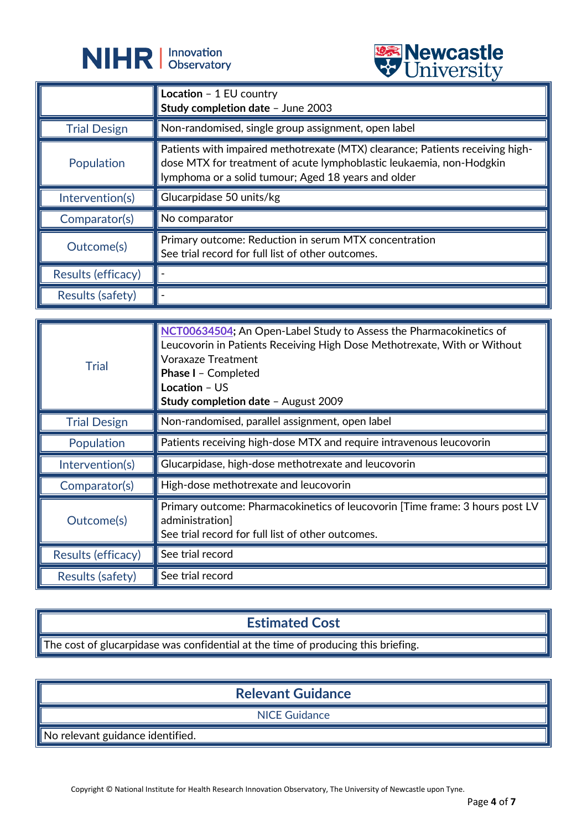



|                     | $\triangledown$ only cross                                                                                                                                                                                   |
|---------------------|--------------------------------------------------------------------------------------------------------------------------------------------------------------------------------------------------------------|
|                     | Location - 1 EU country<br>Study completion date - June 2003                                                                                                                                                 |
| <b>Trial Design</b> | Non-randomised, single group assignment, open label                                                                                                                                                          |
| Population          | Patients with impaired methotrexate (MTX) clearance; Patients receiving high-<br>dose MTX for treatment of acute lymphoblastic leukaemia, non-Hodgkin<br>lymphoma or a solid tumour; Aged 18 years and older |
| Intervention(s)     | Glucarpidase 50 units/kg                                                                                                                                                                                     |
| Comparator(s)       | No comparator                                                                                                                                                                                                |
| Outcome(s)          | Primary outcome: Reduction in serum MTX concentration<br>See trial record for full list of other outcomes.                                                                                                   |
| Results (efficacy)  |                                                                                                                                                                                                              |
| Results (safety)    |                                                                                                                                                                                                              |

| <b>Trial</b>        | NCT00634504; An Open-Label Study to Assess the Pharmacokinetics of<br>Leucovorin in Patients Receiving High Dose Methotrexate, With or Without<br><b>Voraxaze Treatment</b><br>Phase I - Completed<br>Location - US<br>Study completion date - August 2009 |
|---------------------|------------------------------------------------------------------------------------------------------------------------------------------------------------------------------------------------------------------------------------------------------------|
| <b>Trial Design</b> | Non-randomised, parallel assignment, open label                                                                                                                                                                                                            |
| Population          | Patients receiving high-dose MTX and require intravenous leucovorin                                                                                                                                                                                        |
| Intervention(s)     | Glucarpidase, high-dose methotrexate and leucovorin                                                                                                                                                                                                        |
| Comparator(s)       | High-dose methotrexate and leucovorin                                                                                                                                                                                                                      |
| Outcome(s)          | Primary outcome: Pharmacokinetics of leucovorin [Time frame: 3 hours post LV<br>administration]<br>See trial record for full list of other outcomes.                                                                                                       |
| Results (efficacy)  | See trial record                                                                                                                                                                                                                                           |
| Results (safety)    | See trial record                                                                                                                                                                                                                                           |

## **Estimated Cost**

The cost of glucarpidase was confidential at the time of producing this briefing.

## **Relevant Guidance**

NICE Guidance

No relevant guidance identified.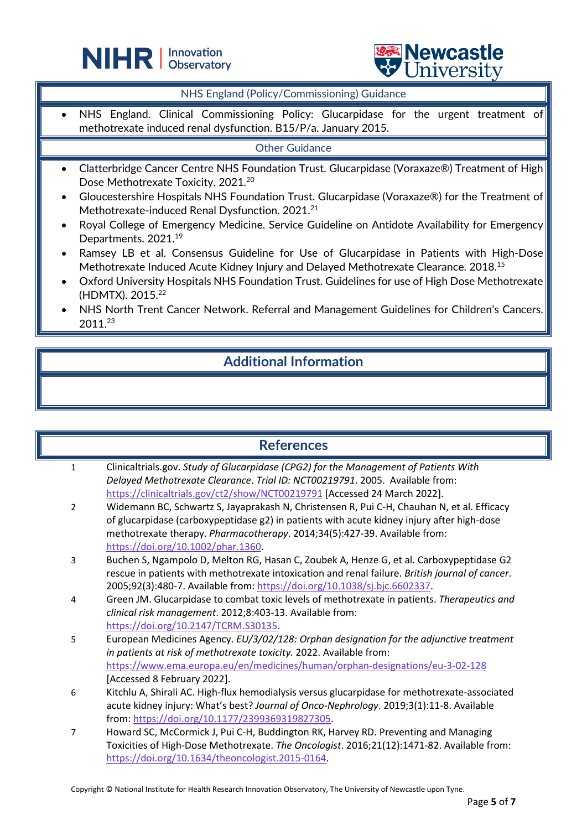



#### NHS England (Policy/Commissioning) Guidance

 $\overline{a}$ 

NHS England. Clinical Commissioning Policy: Glucarpidase for the urgent treatment of methotrexate induced renal dysfunction. B15/P/a. January 2015.

#### Other Guidance

- Clatterbridge Cancer Centre NHS Foundation Trust. Glucarpidase (Voraxaze®) Treatment of High Dose Methotrexate Toxicity. 2021.<sup>20</sup>
- Gloucestershire Hospitals NHS Foundation Trust. Glucarpidase (Voraxaze®) for the Treatment of Methotrexate-induced Renal Dysfunction. 2021.<sup>21</sup>
- Royal College of Emergency Medicine. Service Guideline on Antidote Availability for Emergency Departments. 2021.19
- Ramsey LB et al. Consensus Guideline for Use of Glucarpidase in Patients with High-Dose Methotrexate Induced Acute Kidney Injury and Delayed Methotrexate Clearance. 2018.15
- Oxford University Hospitals NHS Foundation Trust. Guidelines for use of High Dose Methotrexate (HDMTX). 2015.22
- NHS North Trent Cancer Network. Referral and Management Guidelines for Children's Cancers. 2011.23

## **Additional Information**

|                | <b>References</b>                                                                               |
|----------------|-------------------------------------------------------------------------------------------------|
| $\mathbf{1}$   | Clinicaltrials.gov. Study of Glucarpidase (CPG2) for the Management of Patients With            |
|                | Delayed Methotrexate Clearance. Trial ID: NCT00219791. 2005. Available from:                    |
|                | https://clinicaltrials.gov/ct2/show/NCT00219791 [Accessed 24 March 2022].                       |
| $\overline{2}$ | Widemann BC, Schwartz S, Jayaprakash N, Christensen R, Pui C-H, Chauhan N, et al. Efficacy      |
|                | of glucarpidase (carboxypeptidase g2) in patients with acute kidney injury after high-dose      |
|                | methotrexate therapy. Pharmacotherapy. 2014;34(5):427-39. Available from:                       |
|                | https://doi.org/10.1002/phar.1360                                                               |
| 3              | Buchen S, Ngampolo D, Melton RG, Hasan C, Zoubek A, Henze G, et al. Carboxypeptidase G2         |
|                | rescue in patients with methotrexate intoxication and renal failure. British journal of cancer. |
|                | 2005;92(3):480-7. Available from: https://doi.org/10.1038/sj.bjc.6602337                        |
| 4              | Green JM. Glucarpidase to combat toxic levels of methotrexate in patients. Therapeutics and     |
|                | clinical risk management. 2012;8:403-13. Available from:                                        |
|                | https://doi.org/10.2147/TCRM.S30135                                                             |
| 5              | European Medicines Agency. EU/3/02/128: Orphan designation for the adjunctive treatment         |
|                | in patients at risk of methotrexate toxicity. 2022. Available from:                             |
|                | https://www.ema.europa.eu/en/medicines/human/orphan-designations/eu-3-02-128                    |
|                | [Accessed 8 February 2022].                                                                     |
| 6              | Kitchlu A, Shirali AC. High-flux hemodialysis versus glucarpidase for methotrexate-associated   |
|                | acute kidney injury: What's best? Journal of Onco-Nephrology. 2019;3(1):11-8. Available         |
|                | from: https://doi.org/10.1177/2399369319827305.                                                 |
| 7              | Howard SC, McCormick J, Pui C-H, Buddington RK, Harvey RD. Preventing and Managing              |
|                | Toxicities of High-Dose Methotrexate. The Oncologist. 2016;21(12):1471-82. Available from:      |
|                | https://doi.org/10.1634/theoncologist.2015-0164.                                                |

Copyright © National Institute for Health Research Innovation Observatory, The University of Newcastle upon Tyne.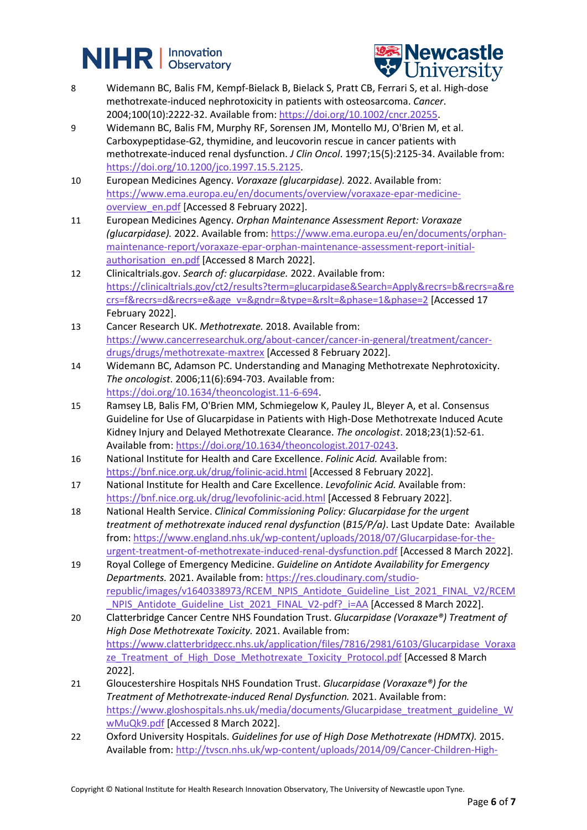# **NIHR Dispervation**



- 8 Widemann BC, Balis FM, Kempf-Bielack B, Bielack S, Pratt CB, Ferrari S, et al. High-dose methotrexate-induced nephrotoxicity in patients with osteosarcoma. *Cancer*. 2004;100(10):2222-32. Available from: [https://doi.org/10.1002/cncr.20255.](https://doi.org/10.1002/cncr.20255)
- 9 Widemann BC, Balis FM, Murphy RF, Sorensen JM, Montello MJ, O'Brien M, et al. Carboxypeptidase-G2, thymidine, and leucovorin rescue in cancer patients with methotrexate-induced renal dysfunction. *J Clin Oncol*. 1997;15(5):2125-34. Available from: [https://doi.org/10.1200/jco.1997.15.5.2125.](https://doi.org/10.1200/jco.1997.15.5.2125)
- 10 European Medicines Agency. *Voraxaze (glucarpidase).* 2022. Available from: [https://www.ema.europa.eu/en/documents/overview/voraxaze-epar-medicine](https://www.ema.europa.eu/en/documents/overview/voraxaze-epar-medicine-overview_en.pdf)[overview\\_en.pdf](https://www.ema.europa.eu/en/documents/overview/voraxaze-epar-medicine-overview_en.pdf) [Accessed 8 February 2022].
- 11 European Medicines Agency. *Orphan Maintenance Assessment Report: Voraxaze (glucarpidase).* 2022. Available from: [https://www.ema.europa.eu/en/documents/orphan](https://www.ema.europa.eu/en/documents/orphan-maintenance-report/voraxaze-epar-orphan-maintenance-assessment-report-initial-authorisation_en.pdf)[maintenance-report/voraxaze-epar-orphan-maintenance-assessment-report-initial](https://www.ema.europa.eu/en/documents/orphan-maintenance-report/voraxaze-epar-orphan-maintenance-assessment-report-initial-authorisation_en.pdf)[authorisation\\_en.pdf](https://www.ema.europa.eu/en/documents/orphan-maintenance-report/voraxaze-epar-orphan-maintenance-assessment-report-initial-authorisation_en.pdf) [Accessed 8 March 2022].
- 12 Clinicaltrials.gov. *Search of: glucarpidase.* 2022. Available from: [https://clinicaltrials.gov/ct2/results?term=glucarpidase&Search=Apply&recrs=b&recrs=a&re](https://clinicaltrials.gov/ct2/results?term=glucarpidase&Search=Apply&recrs=b&recrs=a&recrs=f&recrs=d&recrs=e&age_v=&gndr=&type=&rslt=&phase=1&phase=2) [crs=f&recrs=d&recrs=e&age\\_v=&gndr=&type=&rslt=&phase=1&phase=2](https://clinicaltrials.gov/ct2/results?term=glucarpidase&Search=Apply&recrs=b&recrs=a&recrs=f&recrs=d&recrs=e&age_v=&gndr=&type=&rslt=&phase=1&phase=2) [Accessed 17 February 2022].
- 13 Cancer Research UK. *Methotrexate.* 2018. Available from: [https://www.cancerresearchuk.org/about-cancer/cancer-in-general/treatment/cancer](https://www.cancerresearchuk.org/about-cancer/cancer-in-general/treatment/cancer-drugs/drugs/methotrexate-maxtrex)[drugs/drugs/methotrexate-maxtrex](https://www.cancerresearchuk.org/about-cancer/cancer-in-general/treatment/cancer-drugs/drugs/methotrexate-maxtrex) [Accessed 8 February 2022].
- 14 Widemann BC, Adamson PC. Understanding and Managing Methotrexate Nephrotoxicity. *The oncologist*. 2006;11(6):694-703. Available from: [https://doi.org/10.1634/theoncologist.11-6-694.](https://doi.org/10.1634/theoncologist.11-6-694)
- 15 Ramsey LB, Balis FM, O'Brien MM, Schmiegelow K, Pauley JL, Bleyer A, et al. Consensus Guideline for Use of Glucarpidase in Patients with High-Dose Methotrexate Induced Acute Kidney Injury and Delayed Methotrexate Clearance. *The oncologist*. 2018;23(1):52-61. Available from: [https://doi.org/10.1634/theoncologist.2017-0243.](https://doi.org/10.1634/theoncologist.2017-0243)
- 16 National Institute for Health and Care Excellence. *Folinic Acid.* Available from: <https://bnf.nice.org.uk/drug/folinic-acid.html> [Accessed 8 February 2022].
- 17 National Institute for Health and Care Excellence. *Levofolinic Acid.* Available from: <https://bnf.nice.org.uk/drug/levofolinic-acid.html> [Accessed 8 February 2022].
- 18 National Health Service. *Clinical Commissioning Policy: Glucarpidase for the urgent treatment of methotrexate induced renal dysfunction* (*B15/P/a)*. Last Update Date: Available from: [https://www.england.nhs.uk/wp-content/uploads/2018/07/Glucarpidase-for-the](https://www.england.nhs.uk/wp-content/uploads/2018/07/Glucarpidase-for-the-urgent-treatment-of-methotrexate-induced-renal-dysfunction.pdf)[urgent-treatment-of-methotrexate-induced-renal-dysfunction.pdf](https://www.england.nhs.uk/wp-content/uploads/2018/07/Glucarpidase-for-the-urgent-treatment-of-methotrexate-induced-renal-dysfunction.pdf) [Accessed 8 March 2022].
- 19 Royal College of Emergency Medicine. *Guideline on Antidote Availability for Emergency Departments.* 2021. Available from[: https://res.cloudinary.com/studio](https://res.cloudinary.com/studio-republic/images/v1640338973/RCEM_NPIS_Antidote_Guideline_List_2021_FINAL_V2/RCEM_NPIS_Antidote_Guideline_List_2021_FINAL_V2-pdf?_i=AA)[republic/images/v1640338973/RCEM\\_NPIS\\_Antidote\\_Guideline\\_List\\_2021\\_FINAL\\_V2/RCEM](https://res.cloudinary.com/studio-republic/images/v1640338973/RCEM_NPIS_Antidote_Guideline_List_2021_FINAL_V2/RCEM_NPIS_Antidote_Guideline_List_2021_FINAL_V2-pdf?_i=AA) NPIS\_Antidote\_Guideline\_List\_2021\_FINAL\_V2-pdf?\_i=AA [Accessed 8 March 2022].
- 20 Clatterbridge Cancer Centre NHS Foundation Trust. *Glucarpidase (Voraxaze®) Treatment of High Dose Methotrexate Toxicity.* 2021. Available from: [https://www.clatterbridgecc.nhs.uk/application/files/7816/2981/6103/Glucarpidase\\_Voraxa](https://www.clatterbridgecc.nhs.uk/application/files/7816/2981/6103/Glucarpidase_Voraxaze_Treatment_of_High_Dose_Methotrexate_Toxicity_Protocol.pdf) [ze\\_Treatment\\_of\\_High\\_Dose\\_Methotrexate\\_Toxicity\\_Protocol.pdf](https://www.clatterbridgecc.nhs.uk/application/files/7816/2981/6103/Glucarpidase_Voraxaze_Treatment_of_High_Dose_Methotrexate_Toxicity_Protocol.pdf) [Accessed 8 March] 2022].
- 21 Gloucestershire Hospitals NHS Foundation Trust. *Glucarpidase (Voraxaze®) for the Treatment of Methotrexate-induced Renal Dysfunction.* 2021. Available from: [https://www.gloshospitals.nhs.uk/media/documents/Glucarpidase\\_treatment\\_guideline\\_W](https://www.gloshospitals.nhs.uk/media/documents/Glucarpidase_treatment_guideline_WwMuQk9.pdf) [wMuQk9.pdf](https://www.gloshospitals.nhs.uk/media/documents/Glucarpidase_treatment_guideline_WwMuQk9.pdf) [Accessed 8 March 2022].
- 22 Oxford University Hospitals. *Guidelines for use of High Dose Methotrexate (HDMTX).* 2015. Available from: [http://tvscn.nhs.uk/wp-content/uploads/2014/09/Cancer-Children-High-](http://tvscn.nhs.uk/wp-content/uploads/2014/09/Cancer-Children-High-Dose-Methotrexate-Guidance-for-Haematolgy-and-Oncology-v2.1-Dec-2015.pdf)